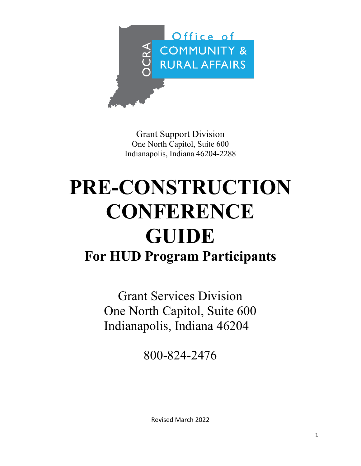

Grant Support Division One North Capitol, Suite 600 Indianapolis, Indiana 46204-2288

## **PRE-CONSTRUCTION CONFERENCE GUIDE For HUD Program Participants**

Grant Services Division One North Capitol, Suite 600 Indianapolis, Indiana 46204

800-824-2476

Revised March 2022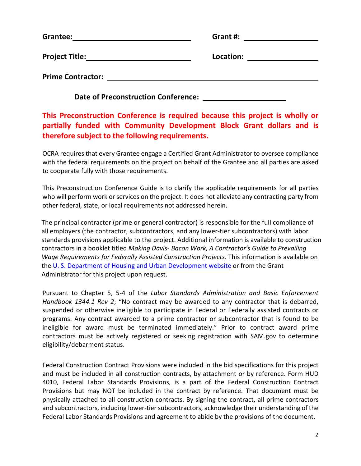| Grantee:                 | Grant #:  |
|--------------------------|-----------|
| <b>Project Title:</b>    | Location: |
| <b>Prime Contractor:</b> |           |

**This Preconstruction Conference is required because this project is wholly or partially funded with Community Development Block Grant dollars and is therefore subject to the following requirements.**

**Date of Preconstruction Conference:** 

OCRA requires that every Grantee engage a Certified Grant Administrator to oversee compliance with the federal requirements on the project on behalf of the Grantee and all parties are asked to cooperate fully with those requirements.

This Preconstruction Conference Guide is to clarify the applicable requirements for all parties who will perform work or services on the project. It does not alleviate any contracting party from other federal, state, or local requirements not addressed herein.

The principal contractor (prime or general contractor) is responsible for the full compliance of all employers (the contractor, subcontractors, and any lower-tier subcontractors) with labor standards provisions applicable to the project. Additional information is available to construction contractors in a booklet titled *Making Davis- Bacon Work, A Contractor's Guide to Prevailing Wage Requirements for Federally Assisted Construction Projects*. This information is available on the [U. S. Department of Housing and](https://www.hudexchange.info/resource/2541/making-davis-bacon-work-contractors-guide-prevailing-wage-requirements/) Urban [Development](https://www.hudexchange.info/resource/2541/making-davis-bacon-work-contractors-guide-prevailing-wage-requirements/) website or from the Grant Administrator for this project upon request.

Pursuant to Chapter 5, 5-4 of the *Labor Standards Administration and Basic Enforcement Handbook 1344.1 Rev 2*; "No contract may be awarded to any contractor that is debarred, suspended or otherwise ineligible to participate in Federal or Federally assisted contracts or programs. Any contract awarded to a prime contractor or subcontractor that is found to be ineligible for award must be terminated immediately." Prior to contract award prime contractors must be actively registered or seeking registration with SAM.gov to determine eligibility/debarment status.

Federal Construction Contract Provisions were included in the bid specifications for this project and must be included in all construction contracts, by attachment or by reference. Form HUD 4010, Federal Labor Standards Provisions, is a part of the Federal Construction Contract Provisions but may NOT be included in the contract by reference. That document must be physically attached to all construction contracts. By signing the contract, all prime contractors and subcontractors, including lower-tier subcontractors, acknowledge their understanding of the Federal Labor Standards Provisions and agreement to abide by the provisions of the document.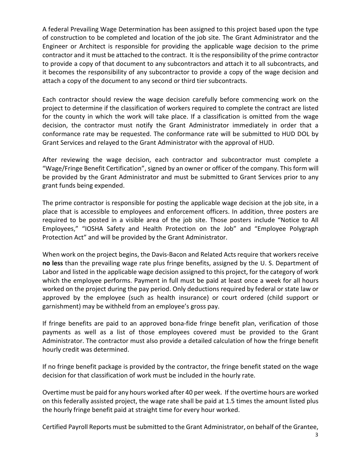A federal Prevailing Wage Determination has been assigned to this project based upon the type of construction to be completed and location of the job site. The Grant Administrator and the Engineer or Architect is responsible for providing the applicable wage decision to the prime contractor and it must be attached to the contract. It isthe responsibility of the prime contractor to provide a copy of that document to any subcontractors and attach it to all subcontracts, and it becomes the responsibility of any subcontractor to provide a copy of the wage decision and attach a copy of the document to any second or third tier subcontracts.

Each contractor should review the wage decision carefully before commencing work on the project to determine if the classification of workers required to complete the contract are listed for the county in which the work will take place. If a classification is omitted from the wage decision, the contractor must notify the Grant Administrator immediately in order that a conformance rate may be requested. The conformance rate will be submitted to HUD DOL by Grant Services and relayed to the Grant Administrator with the approval of HUD.

After reviewing the wage decision, each contractor and subcontractor must complete a "Wage/Fringe Benefit Certification", signed by an owner or officer of the company. This form will be provided by the Grant Administrator and must be submitted to Grant Services prior to any grant funds being expended.

The prime contractor is responsible for posting the applicable wage decision at the job site, in a place that is accessible to employees and enforcement officers. In addition, three posters are required to be posted in a visible area of the job site. Those posters include "Notice to All Employees," "IOSHA Safety and Health Protection on the Job" and "Employee Polygraph Protection Act" and will be provided by the Grant Administrator.

When work on the project begins, the Davis-Bacon and Related Acts require that workers receive **no less** than the prevailing wage rate plus fringe benefits, assigned by the U. S. Department of Labor and listed in the applicable wage decision assigned to this project, for the category of work which the employee performs. Payment in full must be paid at least once a week for all hours worked on the project during the pay period. Only deductions required by federal or state law or approved by the employee (such as health insurance) or court ordered (child support or garnishment) may be withheld from an employee's gross pay.

If fringe benefits are paid to an approved bona-fide fringe benefit plan, verification of those payments as well as a list of those employees covered must be provided to the Grant Administrator. The contractor must also provide a detailed calculation of how the fringe benefit hourly credit was determined.

If no fringe benefit package is provided by the contractor, the fringe benefit stated on the wage decision for that classification of work must be included in the hourly rate.

Overtime must be paid for any hours worked after 40 per week. If the overtime hours are worked on this federally assisted project, the wage rate shall be paid at 1.5 times the amount listed plus the hourly fringe benefit paid at straight time for every hour worked.

Certified Payroll Reports must be submitted to the Grant Administrator, on behalf of the Grantee,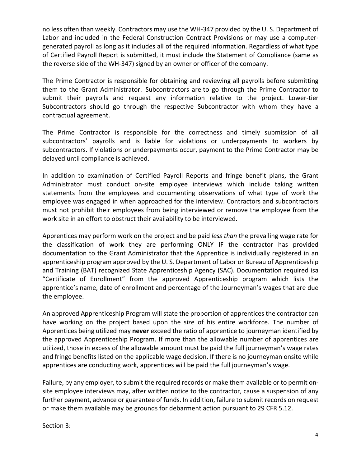no less often than weekly. Contractors may use the WH-347 provided by the U. S. Department of Labor and included in the Federal Construction Contract Provisions or may use a computergenerated payroll as long as it includes all of the required information. Regardless of what type of Certified Payroll Report is submitted, it must include the Statement of Compliance (same as the reverse side of the WH-347) signed by an owner or officer of the company.

The Prime Contractor is responsible for obtaining and reviewing all payrolls before submitting them to the Grant Administrator. Subcontractors are to go through the Prime Contractor to submit their payrolls and request any information relative to the project. Lower-tier Subcontractors should go through the respective Subcontractor with whom they have a contractual agreement.

The Prime Contractor is responsible for the correctness and timely submission of all subcontractors' payrolls and is liable for violations or underpayments to workers by subcontractors. If violations or underpayments occur, payment to the Prime Contractor may be delayed until compliance is achieved.

In addition to examination of Certified Payroll Reports and fringe benefit plans, the Grant Administrator must conduct on-site employee interviews which include taking written statements from the employees and documenting observations of what type of work the employee was engaged in when approached for the interview. Contractors and subcontractors must not prohibit their employees from being interviewed or remove the employee from the work site in an effort to obstruct their availability to be interviewed.

Apprentices may perform work on the project and be paid *less than* the prevailing wage rate for the classification of work they are performing ONLY IF the contractor has provided documentation to the Grant Administrator that the Apprentice is individually registered in an apprenticeship program approved by the U. S. Department of Labor or Bureau of Apprenticeship and Training (BAT) recognized State Apprenticeship Agency (SAC). Documentation required isa "Certificate of Enrollment" from the approved Apprenticeship program which lists the apprentice's name, date of enrollment and percentage of the Journeyman's wages that are due the employee.

An approved Apprenticeship Program will state the proportion of apprentices the contractor can have working on the project based upon the size of his entire workforce. The number of Apprentices being utilized may **never** exceed the ratio of apprentice to journeyman identified by the approved Apprenticeship Program. If more than the allowable number of apprentices are utilized, those in excess of the allowable amount must be paid the full journeyman's wage rates and fringe benefits listed on the applicable wage decision. If there is no journeyman onsite while apprentices are conducting work, apprentices will be paid the full journeyman's wage.

Failure, by any employer, to submit the required records or make them available or to permit onsite employee interviews may, after written notice to the contractor, cause a suspension of any further payment, advance or guarantee of funds. In addition, failure to submit records on request or make them available may be grounds for debarment action pursuant to 29 CFR 5.12.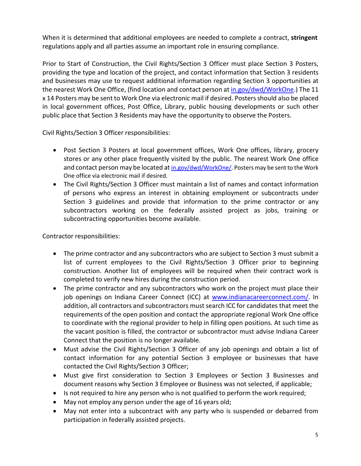When it is determined that additional employees are needed to complete a contract, **stringent** regulations apply and all parties assume an important role in ensuring compliance.

Prior to Start of Construction, the Civil Rights/Section 3 Officer must place Section 3 Posters, providing the type and location of the project, and contact information that Section 3 residents and businesses may use to request additional information regarding Section 3 opportunities at the nearest Work One Office, (find location and contact person at in.gov/dwd/WorkOne.) The 11 x 14 Posters may be sent to Work One via electronic mail if desired. Posters should also be placed in local government offices, Post Office, Library, public housing developments or such other public place that Section 3 Residents may have the opportunity to observe the Posters.

Civil Rights/Section 3 Officer responsibilities:

- Post Section 3 Posters at local government offices, Work One offices, library, grocery stores or any other place frequently visited by the public. The nearest Work One office and contact person may be located at [in.gov/dwd/WorkOne/.](http://www.in.gov/dwd/WorkOne/) Posters may be sent to the Work One office via electronic mail if desired.
- The Civil Rights/Section 3 Officer must maintain a list of names and contact information of persons who express an interest in obtaining employment or subcontracts under Section 3 guidelines and provide that information to the prime contractor or any subcontractors working on the federally assisted project as jobs, training or subcontracting opportunities become available.

Contractor responsibilities:

- The prime contractor and any subcontractors who are subject to Section 3 must submit a list of current employees to the Civil Rights/Section 3 Officer prior to beginning construction. Another list of employees will be required when their contract work is completed to verify new hires during the construction period.
- The prime contractor and any subcontractors who work on the project must place their job openings on Indiana Career Connect (ICC) at [www.indianacareerconnect.com/.](http://www.indianacareerconnect.com/) In addition, all contractors and subcontractors mustsearch ICC for candidates that meet the requirements of the open position and contact the appropriate regional Work One office to coordinate with the regional provider to help in filling open positions. At such time as the vacant position is filled, the contractor or subcontractor must advise Indiana Career Connect that the position is no longer available.
- Must advise the Civil Rights/Section 3 Officer of any job openings and obtain a list of contact information for any potential Section 3 employee or businesses that have contacted the Civil Rights/Section 3 Officer;
- Must give first consideration to Section 3 Employees or Section 3 Businesses and document reasons why Section 3 Employee or Business was not selected, if applicable;
- Is not required to hire any person who is not qualified to perform the work required;
- May not employ any person under the age of 16 years old;
- May not enter into a subcontract with any party who is suspended or debarred from participation in federally assisted projects.